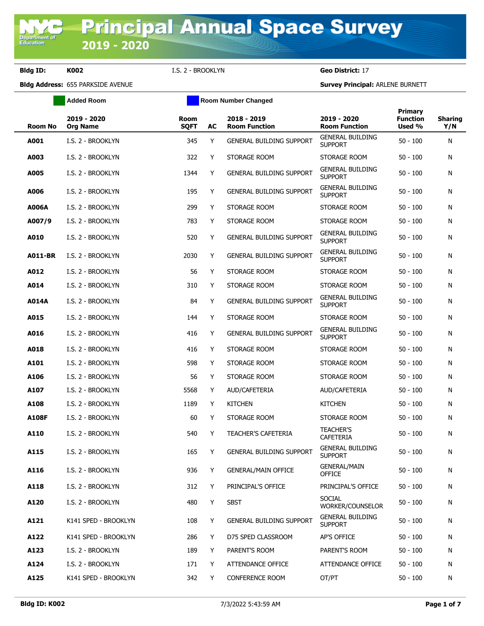**Department of**<br>Education

**Bldg ID: K002** I.S. 2 - BROOKLYN **Geo District:** 17

|                | <b>Added Room</b>              |                            |    | <b>Room Number Changed</b>          |                                           |                                      |                       |
|----------------|--------------------------------|----------------------------|----|-------------------------------------|-------------------------------------------|--------------------------------------|-----------------------|
| Room No        | 2019 - 2020<br><b>Org Name</b> | <b>Room</b><br><b>SQFT</b> | AC | 2018 - 2019<br><b>Room Function</b> | 2019 - 2020<br><b>Room Function</b>       | Primary<br><b>Function</b><br>Used % | <b>Sharing</b><br>Y/N |
| A001           | I.S. 2 - BROOKLYN              | 345                        | Y  | <b>GENERAL BUILDING SUPPORT</b>     | <b>GENERAL BUILDING</b><br><b>SUPPORT</b> | $50 - 100$                           | N                     |
| A003           | I.S. 2 - BROOKLYN              | 322                        | Y  | STORAGE ROOM                        | STORAGE ROOM                              | $50 - 100$                           | N                     |
| A005           | I.S. 2 - BROOKLYN              | 1344                       | Y  | <b>GENERAL BUILDING SUPPORT</b>     | <b>GENERAL BUILDING</b><br><b>SUPPORT</b> | $50 - 100$                           | N                     |
| A006           | I.S. 2 - BROOKLYN              | 195                        | Y  | <b>GENERAL BUILDING SUPPORT</b>     | <b>GENERAL BUILDING</b><br><b>SUPPORT</b> | $50 - 100$                           | N                     |
| <b>A006A</b>   | I.S. 2 - BROOKLYN              | 299                        | Y  | STORAGE ROOM                        | STORAGE ROOM                              | $50 - 100$                           | N                     |
| A007/9         | I.S. 2 - BROOKLYN              | 783                        | Y  | STORAGE ROOM                        | STORAGE ROOM                              | $50 - 100$                           | N                     |
| A010           | I.S. 2 - BROOKLYN              | 520                        | Y  | <b>GENERAL BUILDING SUPPORT</b>     | <b>GENERAL BUILDING</b><br><b>SUPPORT</b> | $50 - 100$                           | N                     |
| <b>A011-BR</b> | I.S. 2 - BROOKLYN              | 2030                       | Y  | <b>GENERAL BUILDING SUPPORT</b>     | <b>GENERAL BUILDING</b><br><b>SUPPORT</b> | $50 - 100$                           | N                     |
| A012           | I.S. 2 - BROOKLYN              | 56                         | Y  | STORAGE ROOM                        | STORAGE ROOM                              | $50 - 100$                           | N                     |
| A014           | I.S. 2 - BROOKLYN              | 310                        | Y  | STORAGE ROOM                        | STORAGE ROOM                              | $50 - 100$                           | N                     |
| A014A          | I.S. 2 - BROOKLYN              | 84                         | Y  | <b>GENERAL BUILDING SUPPORT</b>     | <b>GENERAL BUILDING</b><br><b>SUPPORT</b> | $50 - 100$                           | N                     |
| A015           | I.S. 2 - BROOKLYN              | 144                        | Y  | STORAGE ROOM                        | STORAGE ROOM                              | $50 - 100$                           | N                     |
| A016           | I.S. 2 - BROOKLYN              | 416                        | Y  | <b>GENERAL BUILDING SUPPORT</b>     | <b>GENERAL BUILDING</b><br><b>SUPPORT</b> | $50 - 100$                           | N                     |
| A018           | I.S. 2 - BROOKLYN              | 416                        | Y  | STORAGE ROOM                        | STORAGE ROOM                              | $50 - 100$                           | N                     |
| A101           | I.S. 2 - BROOKLYN              | 598                        | Y  | STORAGE ROOM                        | STORAGE ROOM                              | $50 - 100$                           | N                     |
| A106           | I.S. 2 - BROOKLYN              | 56                         | Y  | STORAGE ROOM                        | STORAGE ROOM                              | $50 - 100$                           | N                     |
| A107           | I.S. 2 - BROOKLYN              | 5568                       | Y  | AUD/CAFETERIA                       | AUD/CAFETERIA                             | $50 - 100$                           | N                     |
| A108           | I.S. 2 - BROOKLYN              | 1189                       | Y  | <b>KITCHEN</b>                      | <b>KITCHEN</b>                            | $50 - 100$                           | N                     |
| A108F          | I.S. 2 - BROOKLYN              | 60                         | Y  | STORAGE ROOM                        | STORAGE ROOM                              | $50 - 100$                           | N                     |
| A110           | I.S. 2 - BROOKLYN              | 540                        | Y  | <b>TEACHER'S CAFETERIA</b>          | <b>TEACHER'S</b><br><b>CAFETERIA</b>      | $50 - 100$                           | N                     |
| A115           | I.S. 2 - BROOKLYN              | 165                        | Y  | GENERAL BUILDING SUPPORT            | <b>GENERAL BUILDING</b><br><b>SUPPORT</b> | $50 - 100$                           | N                     |
| A116           | I.S. 2 - BROOKLYN              | 936                        | Y  | <b>GENERAL/MAIN OFFICE</b>          | <b>GENERAL/MAIN</b><br><b>OFFICE</b>      | $50 - 100$                           | N                     |
| A118           | I.S. 2 - BROOKLYN              | 312                        | Y  | PRINCIPAL'S OFFICE                  | PRINCIPAL'S OFFICE                        | $50 - 100$                           | N                     |
| A120           | I.S. 2 - BROOKLYN              | 480                        | Y  | <b>SBST</b>                         | <b>SOCIAL</b><br>WORKER/COUNSELOR         | $50 - 100$                           | N                     |
| A121           | K141 SPED - BROOKLYN           | 108                        | Y  | <b>GENERAL BUILDING SUPPORT</b>     | <b>GENERAL BUILDING</b><br><b>SUPPORT</b> | $50 - 100$                           | N                     |
| A122           | K141 SPED - BROOKLYN           | 286                        | Y  | D75 SPED CLASSROOM                  | AP'S OFFICE                               | $50 - 100$                           | N                     |
| A123           | I.S. 2 - BROOKLYN              | 189                        | Y  | PARENT'S ROOM                       | PARENT'S ROOM                             | $50 - 100$                           | N                     |
| A124           | I.S. 2 - BROOKLYN              | 171                        | Y  | ATTENDANCE OFFICE                   | ATTENDANCE OFFICE                         | $50 - 100$                           | N                     |
| A125           | K141 SPED - BROOKLYN           | 342                        | Y  | <b>CONFERENCE ROOM</b>              | OT/PT                                     | $50 - 100$                           | N                     |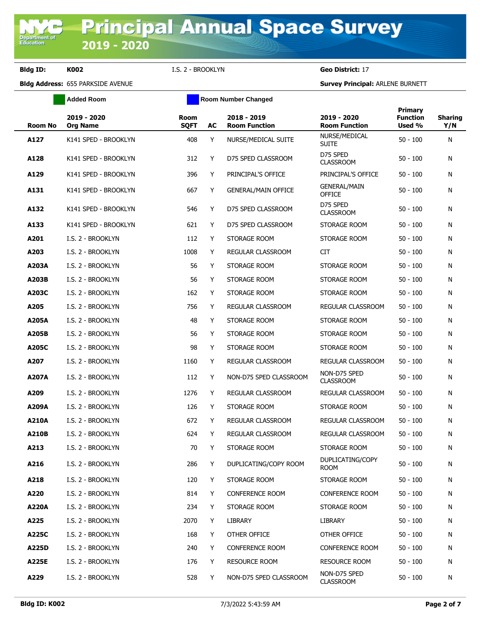**Bldg ID: K002** I.S. 2 - BROOKLYN **Geo District:** 17

**Added Room Room Room Number Changed** 

| <b>Room No</b> | 2019 - 2020<br><b>Org Name</b> | <b>Room</b><br><b>SQFT</b> | AC | 2018 - 2019<br><b>Room Function</b> | 2019 - 2020<br><b>Room Function</b>  | <b>Primary</b><br><b>Function</b><br>Used % | <b>Sharing</b><br>Y/N |
|----------------|--------------------------------|----------------------------|----|-------------------------------------|--------------------------------------|---------------------------------------------|-----------------------|
| A127           | K141 SPED - BROOKLYN           | 408                        | Y  | NURSE/MEDICAL SUITE                 | NURSE/MEDICAL<br><b>SUITE</b>        | $50 - 100$                                  | N                     |
| A128           | K141 SPED - BROOKLYN           | 312                        | Y  | D75 SPED CLASSROOM                  | D75 SPED<br><b>CLASSROOM</b>         | $50 - 100$                                  | N                     |
| A129           | K141 SPED - BROOKLYN           | 396                        | Y  | PRINCIPAL'S OFFICE                  | PRINCIPAL'S OFFICE                   | $50 - 100$                                  | N                     |
| A131           | K141 SPED - BROOKLYN           | 667                        | Y  | <b>GENERAL/MAIN OFFICE</b>          | <b>GENERAL/MAIN</b><br><b>OFFICE</b> | $50 - 100$                                  | N                     |
| A132           | K141 SPED - BROOKLYN           | 546                        | Y  | D75 SPED CLASSROOM                  | D75 SPED<br><b>CLASSROOM</b>         | $50 - 100$                                  | N                     |
| A133           | K141 SPED - BROOKLYN           | 621                        | Y  | D75 SPED CLASSROOM                  | STORAGE ROOM                         | $50 - 100$                                  | N                     |
| A201           | I.S. 2 - BROOKLYN              | 112                        | Y  | STORAGE ROOM                        | STORAGE ROOM                         | $50 - 100$                                  | N                     |
| A203           | I.S. 2 - BROOKLYN              | 1008                       | Y  | REGULAR CLASSROOM                   | <b>CIT</b>                           | $50 - 100$                                  | N                     |
| A203A          | I.S. 2 - BROOKLYN              | 56                         | Y  | STORAGE ROOM                        | STORAGE ROOM                         | $50 - 100$                                  | N                     |
| A203B          | I.S. 2 - BROOKLYN              | 56                         | Y  | STORAGE ROOM                        | STORAGE ROOM                         | $50 - 100$                                  | N                     |
| A203C          | I.S. 2 - BROOKLYN              | 162                        | Y  | STORAGE ROOM                        | STORAGE ROOM                         | $50 - 100$                                  | N                     |
| A205           | I.S. 2 - BROOKLYN              | 756                        | Y  | REGULAR CLASSROOM                   | REGULAR CLASSROOM                    | $50 - 100$                                  | N                     |
| A205A          | I.S. 2 - BROOKLYN              | 48                         | Y  | STORAGE ROOM                        | STORAGE ROOM                         | $50 - 100$                                  | N                     |
| A205B          | I.S. 2 - BROOKLYN              | 56                         | Y  | STORAGE ROOM                        | STORAGE ROOM                         | $50 - 100$                                  | N                     |
| A205C          | I.S. 2 - BROOKLYN              | 98                         | Y  | STORAGE ROOM                        | STORAGE ROOM                         | $50 - 100$                                  | N                     |
| A207           | I.S. 2 - BROOKLYN              | 1160                       | Y  | REGULAR CLASSROOM                   | REGULAR CLASSROOM                    | $50 - 100$                                  | N                     |
| A207A          | I.S. 2 - BROOKLYN              | 112                        | Y  | NON-D75 SPED CLASSROOM              | NON-D75 SPED<br><b>CLASSROOM</b>     | $50 - 100$                                  | N                     |
| A209           | I.S. 2 - BROOKLYN              | 1276                       | Y  | REGULAR CLASSROOM                   | REGULAR CLASSROOM                    | $50 - 100$                                  | N                     |
| A209A          | I.S. 2 - BROOKLYN              | 126                        | Y  | STORAGE ROOM                        | STORAGE ROOM                         | $50 - 100$                                  | N                     |
| A210A          | I.S. 2 - BROOKLYN              | 672                        | Y  | REGULAR CLASSROOM                   | REGULAR CLASSROOM                    | $50 - 100$                                  | N                     |
| <b>A210B</b>   | I.S. 2 - BROOKLYN              | 624                        | Y  | REGULAR CLASSROOM                   | REGULAR CLASSROOM                    | $50 - 100$                                  | N                     |
| A213           | I.S. 2 - BROOKLYN              | 70                         | Y  | STORAGE ROOM                        | STORAGE ROOM                         | $50 - 100$                                  | N                     |
| A216           | I.S. 2 - BROOKLYN              | 286                        | Y  | DUPLICATING/COPY ROOM               | DUPLICATING/COPY<br><b>ROOM</b>      | $50 - 100$                                  | N                     |
| A218           | I.S. 2 - BROOKLYN              | 120                        | Y  | STORAGE ROOM                        | STORAGE ROOM                         | $50 - 100$                                  | N                     |
| A220           | I.S. 2 - BROOKLYN              | 814                        | Y  | <b>CONFERENCE ROOM</b>              | <b>CONFERENCE ROOM</b>               | $50 - 100$                                  | N                     |
| A220A          | I.S. 2 - BROOKLYN              | 234                        | Y  | STORAGE ROOM                        | STORAGE ROOM                         | $50 - 100$                                  | N                     |
| A225           | I.S. 2 - BROOKLYN              | 2070                       | Y  | LIBRARY                             | <b>LIBRARY</b>                       | $50 - 100$                                  | N                     |
| A225C          | I.S. 2 - BROOKLYN              | 168                        | Y  | OTHER OFFICE                        | OTHER OFFICE                         | $50 - 100$                                  | N                     |
| A225D          | I.S. 2 - BROOKLYN              | 240                        | Y  | <b>CONFERENCE ROOM</b>              | <b>CONFERENCE ROOM</b>               | $50 - 100$                                  | N                     |
| A225E          | I.S. 2 - BROOKLYN              | 176                        | Y  | <b>RESOURCE ROOM</b>                | <b>RESOURCE ROOM</b>                 | $50 - 100$                                  | N                     |
| A229           | I.S. 2 - BROOKLYN              | 528                        | Y  | NON-D75 SPED CLASSROOM              | NON-D75 SPED<br><b>CLASSROOM</b>     | $50 - 100$                                  | N                     |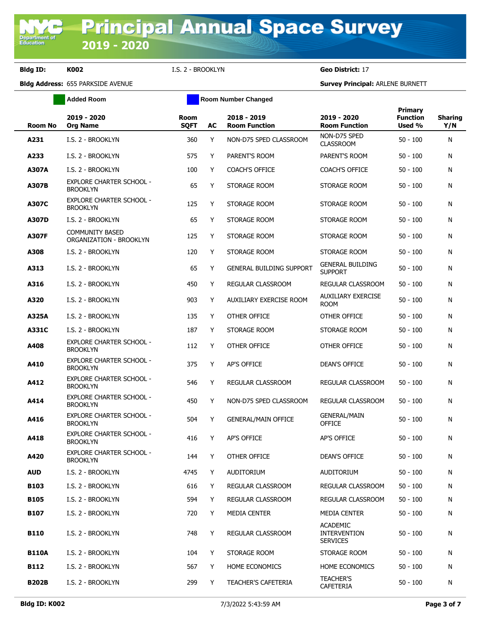**Bldg ID: K002** I.S. 2 - BROOKLYN **Geo District:** 17

|              | <b>Added Room</b>                                  | <b>Room Number Changed</b> |    |                                     |                                                           |                                      |                       |
|--------------|----------------------------------------------------|----------------------------|----|-------------------------------------|-----------------------------------------------------------|--------------------------------------|-----------------------|
| Room No      | 2019 - 2020<br><b>Org Name</b>                     | <b>Room</b><br><b>SQFT</b> | AC | 2018 - 2019<br><b>Room Function</b> | 2019 - 2020<br><b>Room Function</b>                       | Primary<br><b>Function</b><br>Used % | <b>Sharing</b><br>Y/N |
| A231         | I.S. 2 - BROOKLYN                                  | 360                        | Y  | NON-D75 SPED CLASSROOM              | NON-D75 SPED<br><b>CLASSROOM</b>                          | $50 - 100$                           | N                     |
| A233         | I.S. 2 - BROOKLYN                                  | 575                        | Y  | PARENT'S ROOM                       | PARENT'S ROOM                                             | $50 - 100$                           | N                     |
| <b>A307A</b> | I.S. 2 - BROOKLYN                                  | 100                        | Y  | <b>COACH'S OFFICE</b>               | <b>COACH'S OFFICE</b>                                     | $50 - 100$                           | N                     |
| A307B        | <b>EXPLORE CHARTER SCHOOL -</b><br><b>BROOKLYN</b> | 65                         | Y  | STORAGE ROOM                        | STORAGE ROOM                                              | $50 - 100$                           | N                     |
| A307C        | <b>EXPLORE CHARTER SCHOOL -</b><br><b>BROOKLYN</b> | 125                        | Y  | STORAGE ROOM                        | STORAGE ROOM                                              | $50 - 100$                           | N                     |
| A307D        | I.S. 2 - BROOKLYN                                  | 65                         | Y  | STORAGE ROOM                        | STORAGE ROOM                                              | $50 - 100$                           | N                     |
| <b>A307F</b> | <b>COMMUNITY BASED</b><br>ORGANIZATION - BROOKLYN  | 125                        | Y  | STORAGE ROOM                        | STORAGE ROOM                                              | $50 - 100$                           | N                     |
| A308         | I.S. 2 - BROOKLYN                                  | 120                        | Y  | STORAGE ROOM                        | STORAGE ROOM                                              | $50 - 100$                           | N                     |
| A313         | I.S. 2 - BROOKLYN                                  | 65                         | Y  | <b>GENERAL BUILDING SUPPORT</b>     | <b>GENERAL BUILDING</b><br><b>SUPPORT</b>                 | $50 - 100$                           | N                     |
| A316         | I.S. 2 - BROOKLYN                                  | 450                        | Y  | <b>REGULAR CLASSROOM</b>            | REGULAR CLASSROOM                                         | $50 - 100$                           | N                     |
| A320         | I.S. 2 - BROOKLYN                                  | 903                        | Y  | AUXILIARY EXERCISE ROOM             | <b>AUXILIARY EXERCISE</b><br><b>ROOM</b>                  | $50 - 100$                           | N                     |
| A325A        | I.S. 2 - BROOKLYN                                  | 135                        | Y  | OTHER OFFICE                        | OTHER OFFICE                                              | $50 - 100$                           | N                     |
| A331C        | I.S. 2 - BROOKLYN                                  | 187                        | Y  | STORAGE ROOM                        | STORAGE ROOM                                              | $50 - 100$                           | N                     |
| A408         | <b>EXPLORE CHARTER SCHOOL -</b><br><b>BROOKLYN</b> | 112                        | Y  | OTHER OFFICE                        | OTHER OFFICE                                              | $50 - 100$                           | N                     |
| A410         | <b>EXPLORE CHARTER SCHOOL -</b><br><b>BROOKLYN</b> | 375                        | Y  | AP'S OFFICE                         | <b>DEAN'S OFFICE</b>                                      | $50 - 100$                           | N                     |
| A412         | <b>EXPLORE CHARTER SCHOOL -</b><br><b>BROOKLYN</b> | 546                        | Y  | REGULAR CLASSROOM                   | REGULAR CLASSROOM                                         | $50 - 100$                           | N                     |
| A414         | EXPLORE CHARTER SCHOOL -<br><b>BROOKLYN</b>        | 450                        | Y  | NON-D75 SPED CLASSROOM              | REGULAR CLASSROOM                                         | $50 - 100$                           | N                     |
| A416         | <b>EXPLORE CHARTER SCHOOL -</b><br><b>BROOKLYN</b> | 504                        | Y  | <b>GENERAL/MAIN OFFICE</b>          | <b>GENERAL/MAIN</b><br><b>OFFICE</b>                      | $50 - 100$                           | N                     |
| A418         | <b>EXPLORE CHARTER SCHOOL -</b><br><b>BROOKLYN</b> | 416                        | Y  | <b>AP'S OFFICE</b>                  | <b>AP'S OFFICE</b>                                        | $50 - 100$                           | N                     |
| A420         | EXPLORE CHARTER SCHOOL -<br><b>BROOKLYN</b>        | 144                        | Y  | OTHER OFFICE                        | <b>DEAN'S OFFICE</b>                                      | $50 - 100$                           | N                     |
| <b>AUD</b>   | I.S. 2 - BROOKLYN                                  | 4745                       | Y  | <b>AUDITORIUM</b>                   | AUDITORIUM                                                | $50 - 100$                           | N                     |
| B103         | I.S. 2 - BROOKLYN                                  | 616                        | Y  | <b>REGULAR CLASSROOM</b>            | REGULAR CLASSROOM                                         | $50 - 100$                           | N                     |
| <b>B105</b>  | I.S. 2 - BROOKLYN                                  | 594                        | Y  | <b>REGULAR CLASSROOM</b>            | REGULAR CLASSROOM                                         | $50 - 100$                           | N                     |
| B107         | I.S. 2 - BROOKLYN                                  | 720                        | Y  | MEDIA CENTER                        | MEDIA CENTER                                              | $50 - 100$                           | N                     |
| <b>B110</b>  | I.S. 2 - BROOKLYN                                  | 748                        | Y  | <b>REGULAR CLASSROOM</b>            | <b>ACADEMIC</b><br><b>INTERVENTION</b><br><b>SERVICES</b> | $50 - 100$                           | N                     |
| <b>B110A</b> | I.S. 2 - BROOKLYN                                  | 104                        | Y  | STORAGE ROOM                        | STORAGE ROOM                                              | $50 - 100$                           | N                     |
| <b>B112</b>  | I.S. 2 - BROOKLYN                                  | 567                        | Y  | <b>HOME ECONOMICS</b>               | <b>HOME ECONOMICS</b>                                     | $50 - 100$                           | N                     |
| <b>B202B</b> | I.S. 2 - BROOKLYN                                  | 299                        | Y  | <b>TEACHER'S CAFETERIA</b>          | <b>TEACHER'S</b><br>CAFETERIA                             | $50 - 100$                           | N                     |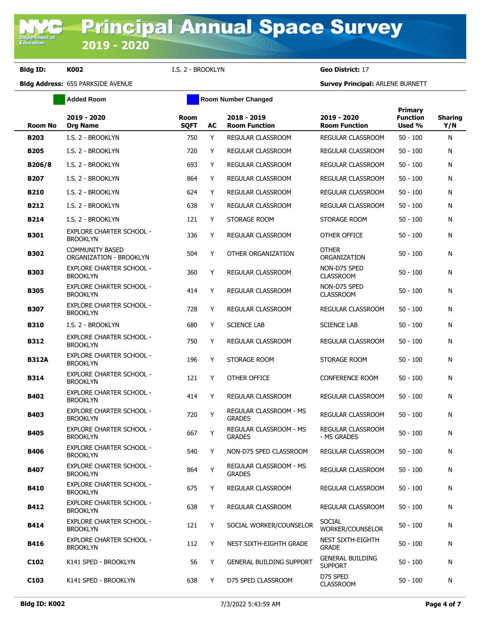**Added Room Room Room Number Changed** 

# **Bldg Address:** 655 PARKSIDE AVENUE **Survey Principal:** ARLENE BURNETT

**Bldg ID: K002** I.S. 2 - BROOKLYN **Geo District:** 17

| Room No          | 2019 - 2020<br><b>Org Name</b>                     | <b>Room</b><br><b>SQFT</b> | AC | 2018 - 2019<br><b>Room Function</b>            | 2019 - 2020<br><b>Room Function</b>       | <b>Primary</b><br><b>Function</b><br>Used % | <b>Sharing</b><br>Y/N |
|------------------|----------------------------------------------------|----------------------------|----|------------------------------------------------|-------------------------------------------|---------------------------------------------|-----------------------|
| <b>B203</b>      | I.S. 2 - BROOKLYN                                  | 750                        | Y  | REGULAR CLASSROOM                              | REGULAR CLASSROOM                         | $50 - 100$                                  | Ν                     |
| <b>B205</b>      | I.S. 2 - BROOKLYN                                  | 720                        | Y  | REGULAR CLASSROOM                              | REGULAR CLASSROOM                         | $50 - 100$                                  | Ν                     |
| B206/8           | I.S. 2 - BROOKLYN                                  | 693                        | Y  | REGULAR CLASSROOM                              | REGULAR CLASSROOM                         | $50 - 100$                                  | Ν                     |
| <b>B207</b>      | I.S. 2 - BROOKLYN                                  | 864                        | Y  | REGULAR CLASSROOM                              | REGULAR CLASSROOM                         | $50 - 100$                                  | N                     |
| <b>B210</b>      | I.S. 2 - BROOKLYN                                  | 624                        | Y  | <b>REGULAR CLASSROOM</b>                       | REGULAR CLASSROOM                         | $50 - 100$                                  | Ν                     |
| B212             | I.S. 2 - BROOKLYN                                  | 638                        | Y  | <b>REGULAR CLASSROOM</b>                       | REGULAR CLASSROOM                         | $50 - 100$                                  | N                     |
| <b>B214</b>      | I.S. 2 - BROOKLYN                                  | 121                        | Y  | STORAGE ROOM                                   | STORAGE ROOM                              | $50 - 100$                                  | Ν                     |
| <b>B301</b>      | <b>EXPLORE CHARTER SCHOOL -</b><br><b>BROOKLYN</b> | 336                        | Y  | REGULAR CLASSROOM                              | OTHER OFFICE                              | $50 - 100$                                  | Ν                     |
| <b>B302</b>      | <b>COMMUNITY BASED</b><br>ORGANIZATION - BROOKLYN  | 504                        | Y  | OTHER ORGANIZATION                             | <b>OTHER</b><br>ORGANIZATION              | $50 - 100$                                  | Ν                     |
| <b>B303</b>      | <b>EXPLORE CHARTER SCHOOL -</b><br><b>BROOKLYN</b> | 360                        | Y  | REGULAR CLASSROOM                              | NON-D75 SPED<br><b>CLASSROOM</b>          | $50 - 100$                                  | Ν                     |
| <b>B305</b>      | <b>EXPLORE CHARTER SCHOOL -</b><br><b>BROOKLYN</b> | 414                        | Y  | <b>REGULAR CLASSROOM</b>                       | NON-D75 SPED<br><b>CLASSROOM</b>          | $50 - 100$                                  | Ν                     |
| <b>B307</b>      | <b>EXPLORE CHARTER SCHOOL -</b><br><b>BROOKLYN</b> | 728                        | Y  | <b>REGULAR CLASSROOM</b>                       | <b>REGULAR CLASSROOM</b>                  | $50 - 100$                                  | Ν                     |
| <b>B310</b>      | I.S. 2 - BROOKLYN                                  | 680                        | Y  | <b>SCIENCE LAB</b>                             | <b>SCIENCE LAB</b>                        | $50 - 100$                                  | Ν                     |
| <b>B312</b>      | <b>EXPLORE CHARTER SCHOOL -</b><br><b>BROOKLYN</b> | 750                        | Y  | REGULAR CLASSROOM                              | REGULAR CLASSROOM                         | $50 - 100$                                  | Ν                     |
| <b>B312A</b>     | <b>EXPLORE CHARTER SCHOOL -</b><br><b>BROOKLYN</b> | 196                        | Y  | STORAGE ROOM                                   | STORAGE ROOM                              | $50 - 100$                                  | Ν                     |
| <b>B314</b>      | <b>EXPLORE CHARTER SCHOOL -</b><br><b>BROOKLYN</b> | 121                        | Y  | OTHER OFFICE                                   | <b>CONFERENCE ROOM</b>                    | $50 - 100$                                  | Ν                     |
| <b>B402</b>      | <b>EXPLORE CHARTER SCHOOL -</b><br><b>BROOKLYN</b> | 414                        | Y  | REGULAR CLASSROOM                              | REGULAR CLASSROOM                         | $50 - 100$                                  | Ν                     |
| <b>B403</b>      | <b>EXPLORE CHARTER SCHOOL -</b><br><b>BROOKLYN</b> | 720                        | Y  | REGULAR CLASSROOM - MS<br><b>GRADES</b>        | REGULAR CLASSROOM                         | $50 - 100$                                  | Ν                     |
| <b>B405</b>      | EXPLORE CHARTER SCHOOL -<br><b>BROOKLYN</b>        | 667                        | Y  | REGULAR CLASSROOM - MS<br><b>GRADES</b>        | REGULAR CLASSROOM<br>- MS GRADES          | $50 - 100$                                  | Ν                     |
| <b>B406</b>      | <b>EXPLORE CHARTER SCHOOL -</b><br>Brooklyn        | 540                        | Y  | NON-D75 SPED CLASSROOM                         | REGULAR CLASSROOM                         | $50 - 100$                                  | N                     |
| <b>B407</b>      | <b>EXPLORE CHARTER SCHOOL -</b><br><b>BROOKLYN</b> | 864                        | Y  | <b>REGULAR CLASSROOM - MS</b><br><b>GRADES</b> | REGULAR CLASSROOM                         | $50 - 100$                                  | Ν                     |
| B410             | <b>EXPLORE CHARTER SCHOOL -</b><br><b>BROOKLYN</b> | 675                        | Y  | <b>REGULAR CLASSROOM</b>                       | REGULAR CLASSROOM                         | $50 - 100$                                  | N                     |
| B412             | <b>EXPLORE CHARTER SCHOOL -</b><br><b>BROOKLYN</b> | 638                        | Y  | REGULAR CLASSROOM                              | REGULAR CLASSROOM                         | $50 - 100$                                  | N                     |
| <b>B414</b>      | <b>EXPLORE CHARTER SCHOOL -</b><br><b>BROOKLYN</b> | 121                        | Y  | SOCIAL WORKER/COUNSELOR                        | <b>SOCIAL</b><br>WORKER/COUNSELOR         | $50 - 100$                                  | Ν                     |
| B416             | <b>EXPLORE CHARTER SCHOOL -</b><br><b>BROOKLYN</b> | 112                        | Y  | NEST SIXTH-EIGHTH GRADE                        | NEST SIXTH-EIGHTH<br><b>GRADE</b>         | $50 - 100$                                  | N                     |
| C <sub>102</sub> | K141 SPED - BROOKLYN                               | 56                         | Y  | <b>GENERAL BUILDING SUPPORT</b>                | <b>GENERAL BUILDING</b><br><b>SUPPORT</b> | $50 - 100$                                  | N                     |
| C <sub>103</sub> | K141 SPED - BROOKLYN                               | 638                        | Y  | D75 SPED CLASSROOM                             | D75 SPED<br><b>CLASSROOM</b>              | $50 - 100$                                  | N                     |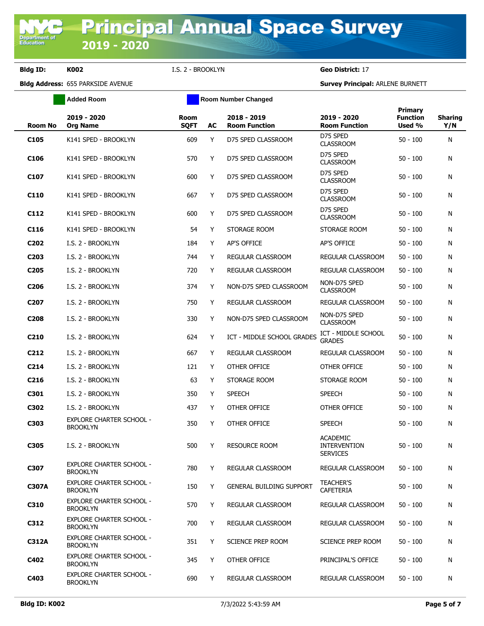**Bldg ID: K002** I.S. 2 - BROOKLYN **Geo District:** 17

**Added Room Room Room Number Changed** 

| <b>Room No</b>   | 2019 - 2020<br><b>Org Name</b>                     | <b>Room</b><br><b>SQFT</b> | AC | 2018 - 2019<br><b>Room Function</b> | 2019 - 2020<br><b>Room Function</b>                       | <b>Primary</b><br><b>Function</b><br>Used % | <b>Sharing</b><br>Y/N |
|------------------|----------------------------------------------------|----------------------------|----|-------------------------------------|-----------------------------------------------------------|---------------------------------------------|-----------------------|
| C <sub>105</sub> | K141 SPED - BROOKLYN                               | 609                        | Y  | D75 SPED CLASSROOM                  | D75 SPED<br><b>CLASSROOM</b>                              | 50 - 100                                    | N                     |
| C <sub>106</sub> | K141 SPED - BROOKLYN                               | 570                        | Y  | D75 SPED CLASSROOM                  | D75 SPED<br><b>CLASSROOM</b>                              | 50 - 100                                    | N                     |
| C <sub>107</sub> | K141 SPED - BROOKLYN                               | 600                        | Y  | D75 SPED CLASSROOM                  | D75 SPED<br><b>CLASSROOM</b>                              | 50 - 100                                    | N                     |
| C110             | K141 SPED - BROOKLYN                               | 667                        | Y  | D75 SPED CLASSROOM                  | D75 SPED<br><b>CLASSROOM</b>                              | 50 - 100                                    | N                     |
| C112             | K141 SPED - BROOKLYN                               | 600                        | Y  | D75 SPED CLASSROOM                  | D75 SPED<br><b>CLASSROOM</b>                              | 50 - 100                                    | N                     |
| C116             | K141 SPED - BROOKLYN                               | 54                         | Y  | STORAGE ROOM                        | STORAGE ROOM                                              | 50 - 100                                    | N                     |
| C <sub>202</sub> | I.S. 2 - BROOKLYN                                  | 184                        | Y  | AP'S OFFICE                         | AP'S OFFICE                                               | 50 - 100                                    | N                     |
| C <sub>203</sub> | I.S. 2 - BROOKLYN                                  | 744                        | Y  | REGULAR CLASSROOM                   | REGULAR CLASSROOM                                         | 50 - 100                                    | N                     |
| C <sub>205</sub> | I.S. 2 - BROOKLYN                                  | 720                        | Y  | REGULAR CLASSROOM                   | REGULAR CLASSROOM                                         | $50 - 100$                                  | N                     |
| C <sub>206</sub> | I.S. 2 - BROOKLYN                                  | 374                        | Y  | NON-D75 SPED CLASSROOM              | NON-D75 SPED<br><b>CLASSROOM</b>                          | $50 - 100$                                  | N                     |
| C <sub>207</sub> | I.S. 2 - BROOKLYN                                  | 750                        | Y  | REGULAR CLASSROOM                   | REGULAR CLASSROOM                                         | 50 - 100                                    | N                     |
| C208             | I.S. 2 - BROOKLYN                                  | 330                        | Y  | NON-D75 SPED CLASSROOM              | NON-D75 SPED<br><b>CLASSROOM</b>                          | 50 - 100                                    | N                     |
| C <sub>210</sub> | I.S. 2 - BROOKLYN                                  | 624                        | Y  | ICT - MIDDLE SCHOOL GRADES          | ICT - MIDDLE SCHOOL<br><b>GRADES</b>                      | $50 - 100$                                  | N                     |
| C <sub>212</sub> | I.S. 2 - BROOKLYN                                  | 667                        | Y  | REGULAR CLASSROOM                   | REGULAR CLASSROOM                                         | 50 - 100                                    | N                     |
| C214             | I.S. 2 - BROOKLYN                                  | 121                        | Y  | OTHER OFFICE                        | OTHER OFFICE                                              | 50 - 100                                    | N                     |
| C <sub>216</sub> | I.S. 2 - BROOKLYN                                  | 63                         | Y  | STORAGE ROOM                        | STORAGE ROOM                                              | 50 - 100                                    | N                     |
| C301             | I.S. 2 - BROOKLYN                                  | 350                        | Y  | <b>SPEECH</b>                       | <b>SPEECH</b>                                             | 50 - 100                                    | N                     |
| C302             | I.S. 2 - BROOKLYN                                  | 437                        | Y  | OTHER OFFICE                        | OTHER OFFICE                                              | 50 - 100                                    | N                     |
| C303             | <b>EXPLORE CHARTER SCHOOL -</b><br><b>BROOKLYN</b> | 350                        | Y  | OTHER OFFICE                        | <b>SPEECH</b>                                             | 50 - 100                                    | N                     |
| C305             | I.S. 2 - BROOKLYN                                  | 500                        | Y  | <b>RESOURCE ROOM</b>                | <b>ACADEMIC</b><br><b>INTERVENTION</b><br><b>SERVICES</b> | 50 - 100                                    | N                     |
| C307             | <b>EXPLORE CHARTER SCHOOL -</b><br><b>BROOKLYN</b> | 780                        | Y  | REGULAR CLASSROOM                   | <b>REGULAR CLASSROOM</b>                                  | $50 - 100$                                  | N                     |
| <b>C307A</b>     | <b>EXPLORE CHARTER SCHOOL -</b><br><b>BROOKLYN</b> | 150                        | Y  | <b>GENERAL BUILDING SUPPORT</b>     | <b>TEACHER'S</b><br>CAFETERIA                             | 50 - 100                                    | N                     |
| C310             | <b>EXPLORE CHARTER SCHOOL -</b><br><b>BROOKLYN</b> | 570                        | Y  | REGULAR CLASSROOM                   | REGULAR CLASSROOM                                         | 50 - 100                                    | N                     |
| C312             | <b>EXPLORE CHARTER SCHOOL -</b><br><b>BROOKLYN</b> | 700                        | Y  | <b>REGULAR CLASSROOM</b>            | REGULAR CLASSROOM                                         | $50 - 100$                                  | N                     |
| <b>C312A</b>     | <b>EXPLORE CHARTER SCHOOL -</b><br><b>BROOKLYN</b> | 351                        | Y  | SCIENCE PREP ROOM                   | <b>SCIENCE PREP ROOM</b>                                  | 50 - 100                                    | N                     |
| C402             | <b>EXPLORE CHARTER SCHOOL -</b><br><b>BROOKLYN</b> | 345                        | Y  | OTHER OFFICE                        | PRINCIPAL'S OFFICE                                        | $50 - 100$                                  | N                     |
| C403             | <b>EXPLORE CHARTER SCHOOL -</b><br><b>BROOKLYN</b> | 690                        | Y  | REGULAR CLASSROOM                   | REGULAR CLASSROOM                                         | $50 - 100$                                  | N                     |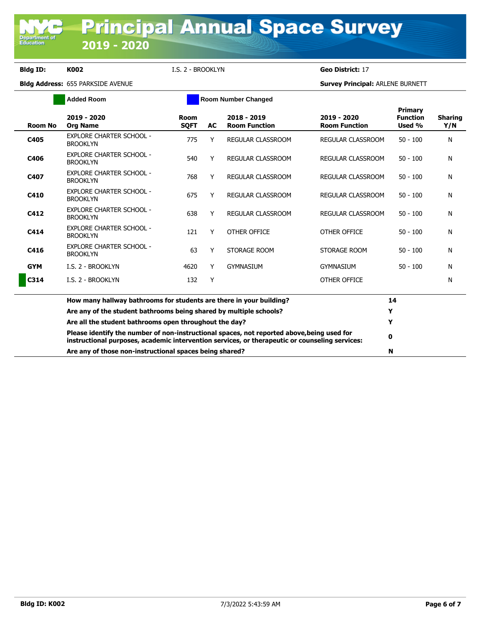Department of<br>Education

**Bldg ID: K002** I.S. 2 - BROOKLYN **Geo District:** 17

|                | <b>Room Number Changed</b>                                                                                                                                                                   |                            |    |                                     |                                     |                                             |                       |
|----------------|----------------------------------------------------------------------------------------------------------------------------------------------------------------------------------------------|----------------------------|----|-------------------------------------|-------------------------------------|---------------------------------------------|-----------------------|
| <b>Room No</b> | 2019 - 2020<br><b>Org Name</b>                                                                                                                                                               | <b>Room</b><br><b>SOFT</b> | AC | 2018 - 2019<br><b>Room Function</b> | 2019 - 2020<br><b>Room Function</b> | <b>Primary</b><br><b>Function</b><br>Used % | <b>Sharing</b><br>Y/N |
| C405           | <b>EXPLORE CHARTER SCHOOL -</b><br><b>BROOKLYN</b>                                                                                                                                           | 775                        | Υ  | <b>REGULAR CLASSROOM</b>            | <b>REGULAR CLASSROOM</b>            | $50 - 100$                                  | N                     |
| C406           | <b>EXPLORE CHARTER SCHOOL -</b><br><b>BROOKLYN</b>                                                                                                                                           | 540                        | Y  | REGULAR CLASSROOM                   | REGULAR CLASSROOM                   | $50 - 100$                                  | N                     |
| C407           | <b>EXPLORE CHARTER SCHOOL -</b><br><b>BROOKLYN</b>                                                                                                                                           | 768                        | Y  | <b>REGULAR CLASSROOM</b>            | <b>REGULAR CLASSROOM</b>            | $50 - 100$                                  | N                     |
| C410           | <b>EXPLORE CHARTER SCHOOL -</b><br><b>BROOKLYN</b>                                                                                                                                           | 675                        | Y  | <b>REGULAR CLASSROOM</b>            | <b>REGULAR CLASSROOM</b>            | $50 - 100$                                  | N                     |
| C412           | <b>EXPLORE CHARTER SCHOOL -</b><br><b>BROOKLYN</b>                                                                                                                                           | 638                        | Y  | <b>REGULAR CLASSROOM</b>            | REGULAR CLASSROOM                   | $50 - 100$                                  | N                     |
| C414           | <b>EXPLORE CHARTER SCHOOL -</b><br><b>BROOKLYN</b>                                                                                                                                           | 121                        | Y  | OTHER OFFICE                        | OTHER OFFICE                        | $50 - 100$                                  | N                     |
| C416           | <b>EXPLORE CHARTER SCHOOL -</b><br><b>BROOKLYN</b>                                                                                                                                           | 63                         | Y  | STORAGE ROOM                        | STORAGE ROOM                        | $50 - 100$                                  | N                     |
| <b>GYM</b>     | I.S. 2 - BROOKLYN                                                                                                                                                                            | 4620                       | Y  | <b>GYMNASIUM</b>                    | <b>GYMNASIUM</b>                    | $50 - 100$                                  | N                     |
| C314           | I.S. 2 - BROOKLYN                                                                                                                                                                            | 132                        | Y  |                                     | OTHER OFFICE                        |                                             | N                     |
|                | How many hallway bathrooms for students are there in your building?                                                                                                                          |                            |    |                                     |                                     | 14                                          |                       |
|                | Are any of the student bathrooms being shared by multiple schools?                                                                                                                           |                            |    |                                     |                                     | Y                                           |                       |
|                | Are all the student bathrooms open throughout the day?                                                                                                                                       |                            |    |                                     |                                     | Y                                           |                       |
|                | Please identify the number of non-instructional spaces, not reported above, being used for<br>instructional purposes, academic intervention services, or therapeutic or counseling services: |                            |    |                                     |                                     | 0                                           |                       |
|                | Are any of those non-instructional spaces being shared?                                                                                                                                      |                            |    |                                     |                                     | N                                           |                       |